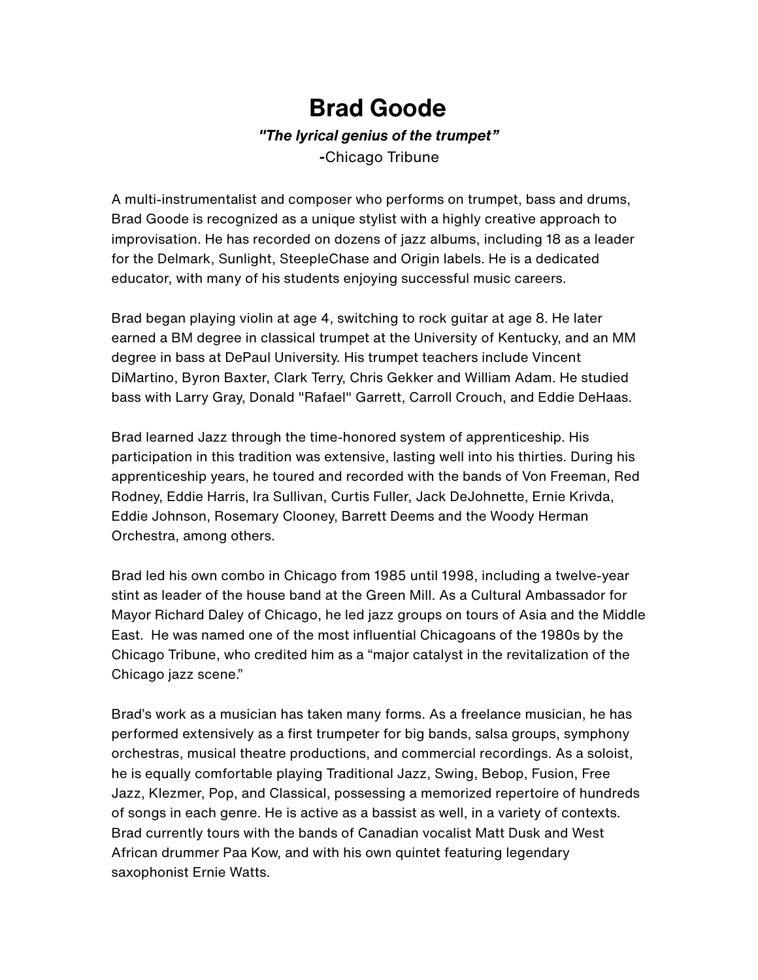## **Brad Goode**

## *"The lyrical genius of the trumpet"*

*-*Chicago Tribune

A multi-instrumentalist and composer who performs on trumpet, bass and drums, Brad Goode is recognized as a unique stylist with a highly creative approach to improvisation. He has recorded on dozens of jazz albums, including 18 as a leader for the Delmark, Sunlight, SteepleChase and Origin labels. He is a dedicated educator, with many of his students enjoying successful music careers.

Brad began playing violin at age 4, switching to rock guitar at age 8. He later earned a BM degree in classical trumpet at the University of Kentucky, and an MM degree in bass at DePaul University. His trumpet teachers include Vincent DiMartino, Byron Baxter, Clark Terry, Chris Gekker and William Adam. He studied bass with Larry Gray, Donald "Rafael" Garrett, Carroll Crouch, and Eddie DeHaas.

Brad learned Jazz through the time-honored system of apprenticeship. His participation in this tradition was extensive, lasting well into his thirties. During his apprenticeship years, he toured and recorded with the bands of Von Freeman, Red Rodney, Eddie Harris, Ira Sullivan, Curtis Fuller, Jack DeJohnette, Ernie Krivda, Eddie Johnson, Rosemary Clooney, Barrett Deems and the Woody Herman Orchestra, among others.

Brad led his own combo in Chicago from 1985 until 1998, including a twelve-year stint as leader of the house band at the Green Mill. As a Cultural Ambassador for Mayor Richard Daley of Chicago, he led jazz groups on tours of Asia and the Middle East. He was named one of the most influential Chicagoans of the 1980s by the Chicago Tribune, who credited him as a "major catalyst in the revitalization of the Chicago jazz scene."

Brad's work as a musician has taken many forms. As a freelance musician, he has performed extensively as a first trumpeter for big bands, salsa groups, symphony orchestras, musical theatre productions, and commercial recordings. As a soloist, he is equally comfortable playing Traditional Jazz, Swing, Bebop, Fusion, Free Jazz, Klezmer, Pop, and Classical, possessing a memorized repertoire of hundreds of songs in each genre. He is active as a bassist as well, in a variety of contexts. Brad currently tours with the bands of Canadian vocalist Matt Dusk and West African drummer Paa Kow, and with his own quintet featuring legendary saxophonist Ernie Watts.